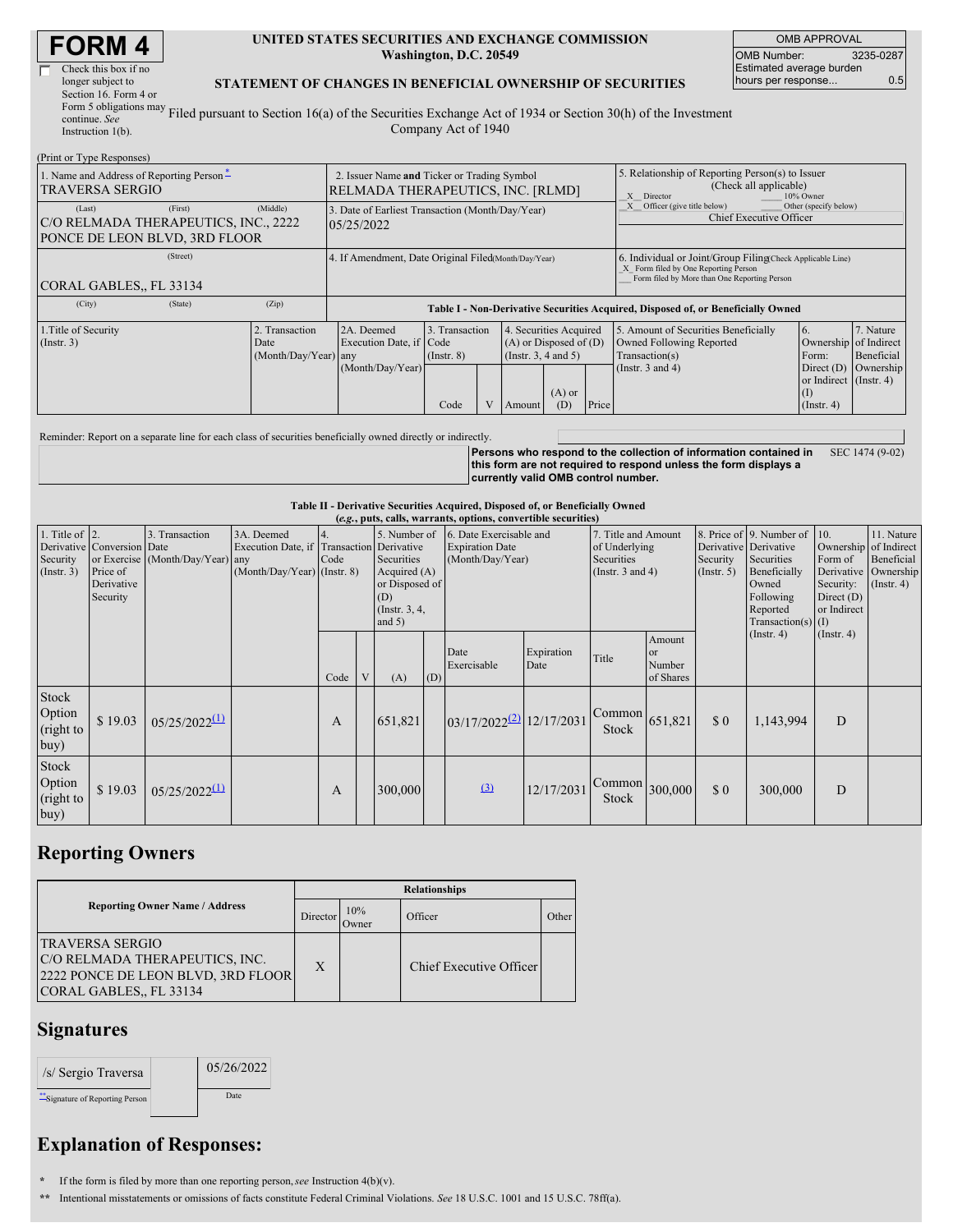| Check this box if no       |
|----------------------------|
| longer subject to          |
| Section 16. Form 4 or      |
| Form 5 obligations may $F$ |
| continue. See              |
|                            |

#### **UNITED STATES SECURITIES AND EXCHANGE COMMISSION Washington, D.C. 20549**

OMB APPROVAL OMB Number: 3235-0287 Estimated average burden hours per response... 0.5

#### **STATEMENT OF CHANGES IN BENEFICIAL OWNERSHIP OF SECURITIES**

Instruction 1(b). Filed pursuant to Section 16(a) of the Securities Exchange Act of 1934 or Section 30(h) of the Investment Company Act of 1940

| (Print or Type Responses)                                                                    |                                                                                  |                                                                                  |                                   |  |                                                                              |                 |                                                                                                                                                    |                                                                                    |                                                                          |                         |
|----------------------------------------------------------------------------------------------|----------------------------------------------------------------------------------|----------------------------------------------------------------------------------|-----------------------------------|--|------------------------------------------------------------------------------|-----------------|----------------------------------------------------------------------------------------------------------------------------------------------------|------------------------------------------------------------------------------------|--------------------------------------------------------------------------|-------------------------|
| 1. Name and Address of Reporting Person-<br><b>TRAVERSA SERGIO</b>                           | 2. Issuer Name and Ticker or Trading Symbol<br>RELMADA THERAPEUTICS, INC. [RLMD] |                                                                                  |                                   |  |                                                                              |                 | 5. Relationship of Reporting Person(s) to Issuer<br>(Check all applicable)<br>X Director<br>10% Owner                                              |                                                                                    |                                                                          |                         |
| (First)<br>(Last)<br>C/O RELMADA THERAPEUTICS, INC., 2222<br>PONCE DE LEON BLVD, 3RD FLOOR   | (Middle)                                                                         | 3. Date of Earliest Transaction (Month/Day/Year)<br>05/25/2022                   |                                   |  |                                                                              |                 |                                                                                                                                                    | Other (specify below)<br>Officer (give title below)<br>Chief Executive Officer     |                                                                          |                         |
| (Street)<br>CORAL GABLES., FL 33134                                                          |                                                                                  | 4. If Amendment, Date Original Filed(Month/Day/Year)                             |                                   |  |                                                                              |                 | 6. Individual or Joint/Group Filing(Check Applicable Line)<br>X Form filed by One Reporting Person<br>Form filed by More than One Reporting Person |                                                                                    |                                                                          |                         |
| (City)<br>(State)                                                                            | (Zip)                                                                            | Table I - Non-Derivative Securities Acquired, Disposed of, or Beneficially Owned |                                   |  |                                                                              |                 |                                                                                                                                                    |                                                                                    |                                                                          |                         |
| 1. Title of Security<br>2. Transaction<br>$($ Instr. 3 $)$<br>Date<br>$(Month/Day/Year)$ any |                                                                                  | 2A. Deemed<br>Execution Date, if Code                                            | 3. Transaction<br>$($ Instr. $8)$ |  | 4. Securities Acquired<br>$(A)$ or Disposed of $(D)$<br>(Insert. 3, 4 and 5) |                 |                                                                                                                                                    | 5. Amount of Securities Beneficially<br>Owned Following Reported<br>Transaction(s) | <sup>6.</sup><br>Ownership of Indirect<br>Form:                          | 7. Nature<br>Beneficial |
|                                                                                              |                                                                                  | (Month/Day/Year)                                                                 | Code                              |  | Amount                                                                       | $(A)$ or<br>(D) | Price                                                                                                                                              | (Instr. $3$ and $4$ )                                                              | Direct $(D)$<br>or Indirect (Instr. 4)<br>$\left($ D<br>$($ Instr. 4 $)$ | Ownership               |

Reminder: Report on a separate line for each class of securities beneficially owned directly or indirectly.

**Persons who respond to the collection of information contained in this form are not required to respond unless the form displays a currently valid OMB control number.** SEC 1474 (9-02)

**Table II - Derivative Securities Acquired, Disposed of, or Beneficially Owned**

| (e.g., puts, calls, warrants, options, convertible securities) |                                                                  |                                                    |                                                                                        |            |   |                                                                                                      |     |                                                                                                                                                      |                    |                                                                               |                                                       |                                                                                                                      |                                                                              |                                                                      |  |
|----------------------------------------------------------------|------------------------------------------------------------------|----------------------------------------------------|----------------------------------------------------------------------------------------|------------|---|------------------------------------------------------------------------------------------------------|-----|------------------------------------------------------------------------------------------------------------------------------------------------------|--------------------|-------------------------------------------------------------------------------|-------------------------------------------------------|----------------------------------------------------------------------------------------------------------------------|------------------------------------------------------------------------------|----------------------------------------------------------------------|--|
| 1. Title of $\vert$ 2.<br>Security<br>(Insert. 3)              | Derivative Conversion Date<br>Price of<br>Derivative<br>Security | 3. Transaction<br>or Exercise (Month/Day/Year) any | 3A. Deemed<br>Execution Date, if Transaction Derivative<br>(Month/Day/Year) (Instr. 8) | 4.<br>Code |   | 5. Number of<br>Securities<br>Acquired $(A)$<br>or Disposed of<br>(D)<br>(Instr. $3, 4,$<br>and $5)$ |     | 6. Date Exercisable and<br>7. Title and Amount<br><b>Expiration Date</b><br>of Underlying<br>Securities<br>(Month/Day/Year)<br>(Instr. $3$ and $4$ ) |                    |                                                                               | Derivative Derivative<br>Security<br>$($ Instr. 5 $)$ | 8. Price of 9. Number of 10.<br>Securities<br>Beneficially<br>Owned<br>Following<br>Reported<br>Transaction(s) $(I)$ | Ownership of Indirect<br>Form of<br>Security:<br>Direct $(D)$<br>or Indirect | 11. Nature<br>Beneficial<br>Derivative Ownership<br>$($ Instr. 4 $)$ |  |
|                                                                |                                                                  |                                                    |                                                                                        | Code       | V | (A)                                                                                                  | (D) | Date<br>Exercisable                                                                                                                                  | Expiration<br>Date | Title                                                                         | Amount<br><sub>or</sub><br>Number<br>of Shares        |                                                                                                                      | $($ Instr. 4 $)$                                                             | $($ Instr. 4 $)$                                                     |  |
| Stock<br>Option<br>(right to<br>buy)                           | \$19.03                                                          | $0.5/25/2022$ <sup>(1)</sup>                       |                                                                                        | A          |   | 651,821                                                                                              |     | 03/17/2022 <sup>(2)</sup> 12/17/2031                                                                                                                 |                    | $\begin{array}{ c c }\n\hline\n\text{Common} & 651,821\n\end{array}$<br>Stock |                                                       | \$0                                                                                                                  | 1,143,994                                                                    | D                                                                    |  |
| Stock<br>Option<br>(right to<br>buy)                           | \$19.03                                                          | $0.5/25/2022$ <sup>(1)</sup>                       |                                                                                        | A          |   | 300,000                                                                                              |     | (3)                                                                                                                                                  | 12/17/2031         | $\begin{bmatrix} \text{Common} \\ 300,000 \end{bmatrix}$<br>Stock             |                                                       | \$0                                                                                                                  | 300,000                                                                      | D                                                                    |  |

## **Reporting Owners**

| <b>Reporting Owner Name / Address</b>                                                                                     |              | <b>Relationships</b> |                         |       |  |  |  |  |  |
|---------------------------------------------------------------------------------------------------------------------------|--------------|----------------------|-------------------------|-------|--|--|--|--|--|
|                                                                                                                           |              | 10%<br>Owner)        | Officer                 | Other |  |  |  |  |  |
| <b>TRAVERSA SERGIO</b><br>C/O RELMADA THERAPEUTICS, INC.<br>2222 PONCE DE LEON BLVD, 3RD FLOOR<br>CORAL GABLES., FL 33134 | $\mathbf{X}$ |                      | Chief Executive Officer |       |  |  |  |  |  |

### **Signatures**

| /s/ Sergio Traversa              | 05/26/2022 |
|----------------------------------|------------|
| ** Signature of Reporting Person | Date       |

# **Explanation of Responses:**

**\*** If the form is filed by more than one reporting person,*see* Instruction 4(b)(v).

**\*\*** Intentional misstatements or omissions of facts constitute Federal Criminal Violations. *See* 18 U.S.C. 1001 and 15 U.S.C. 78ff(a).